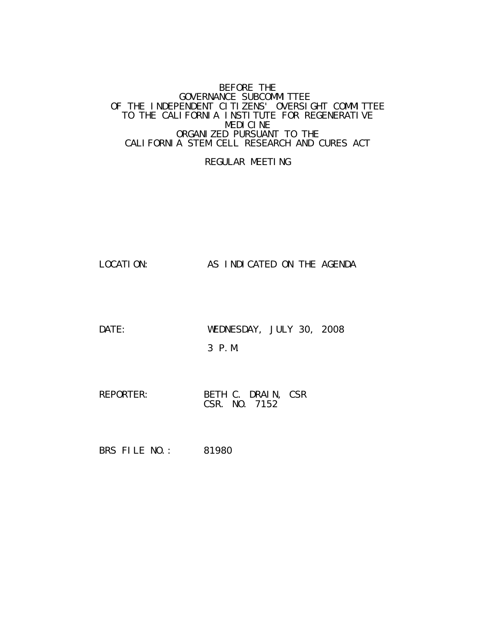#### BEFORE THE GOVERNANCE SUBCOMMITTEE OF THE INDEPENDENT CITIZENS' OVERSIGHT COMMITTEE TO THE CALIFORNIA INSTITUTE FOR REGENERATIVE MEDICINE ORGANIZED PURSUANT TO THE CALIFORNIA STEM CELL RESEARCH AND CURES ACT

#### REGULAR MEETING

LOCATION: AS INDICATED ON THE AGENDA

DATE: WEDNESDAY, JULY 30, 2008 3 P.M.

REPORTER: BETH C. DRAIN, CSR CSR. NO. 7152

BRS FILE NO.: 81980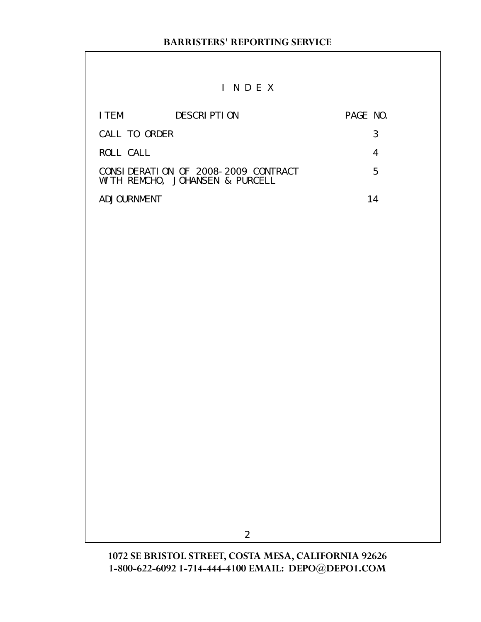# I N D E X

| I TEM         | DESCRIPTION                                                            | PAGE NO. |   |
|---------------|------------------------------------------------------------------------|----------|---|
| CALL TO ORDER |                                                                        |          |   |
| ROLL CALL     |                                                                        |          |   |
|               | CONSIDERATION OF 2008-2009 CONTRACT<br>WITH REMCHO, JOHANSEN & PURCELL |          | h |
| ADJOURNMENT   |                                                                        |          |   |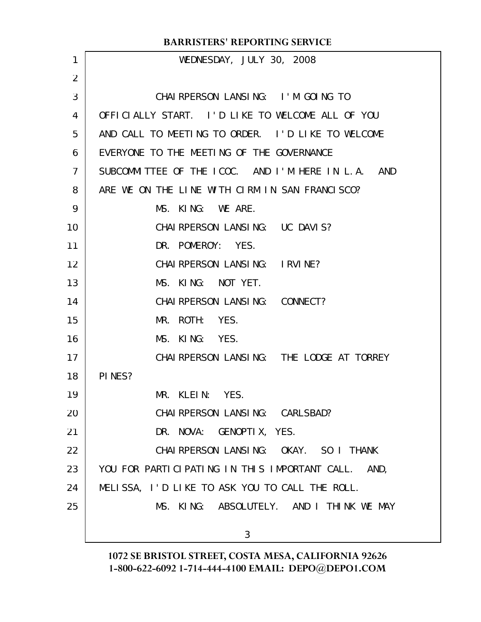| <b>BARRISTERS' REPORTING SERVICE</b>                  |  |  |
|-------------------------------------------------------|--|--|
| WEDNESDAY, JULY 30, 2008                              |  |  |
|                                                       |  |  |
| CHAI RPERSON LANSING: I'M GOING TO                    |  |  |
| OFFICIALLY START. I'D LIKE TO WELCOME ALL OF YOU      |  |  |
| AND CALL TO MEETING TO ORDER. I'D LIKE TO WELCOME     |  |  |
| EVERYONE TO THE MEETING OF THE GOVERNANCE             |  |  |
| SUBCOMMITTEE OF THE ICOC. AND I'M HERE IN L.A.<br>AND |  |  |
| ARE WE ON THE LINE WITH CIRM IN SAN FRANCISCO?        |  |  |
| MS. KING: WE ARE.                                     |  |  |
| CHAI RPERSON LANSING: UC DAVIS?                       |  |  |
| DR. POMEROY: YES.                                     |  |  |
| CHAI RPERSON LANSING: I RVINE?                        |  |  |
| MS. KING: NOT YET.                                    |  |  |
| CHAI RPERSON LANSING: CONNECT?                        |  |  |
| MR. ROTH:<br>YES.                                     |  |  |
| KING:<br>MS.<br>YES.                                  |  |  |
| CHAI RPERSON LANSING: THE LODGE AT TORREY             |  |  |
| PINES?                                                |  |  |
| MR. KLEIN: YES.                                       |  |  |
| CHAI RPERSON LANSING: CARLSBAD?                       |  |  |
| DR. NOVA: GENOPTIX, YES.                              |  |  |
| CHAI RPERSON LANSING: OKAY. SO I THANK                |  |  |
| YOU FOR PARTICIPATING IN THIS IMPORTANT CALL. AND,    |  |  |
| MELISSA, I'D LIKE TO ASK YOU TO CALL THE ROLL.        |  |  |
| MS. KING: ABSOLUTELY. AND I THINK WE MAY              |  |  |
| 3                                                     |  |  |
|                                                       |  |  |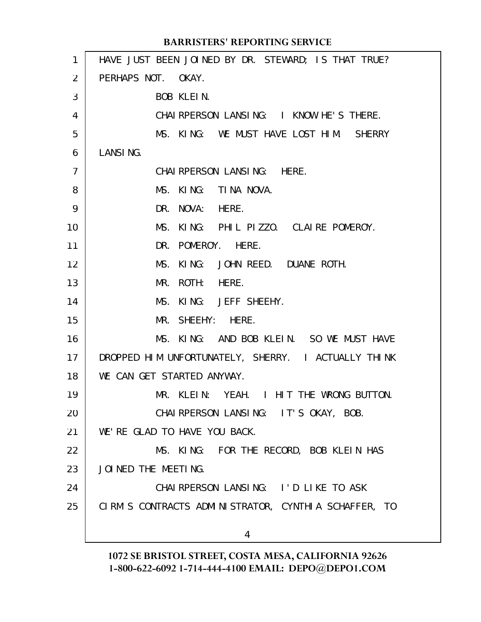HAVE JUST BEEN JOINED BY DR. STEWARD; IS THAT TRUE? PERHAPS NOT. OKAY. BOB KLEIN. CHAIRPERSON LANSING: I KNOW HE'S THERE. MS. KING: WE MUST HAVE LOST HIM. SHERRY LANSING. CHAIRPERSON LANSING: HERE. MS. KING: TINA NOVA. DR. NOVA: HERE. MS. KING: PHIL PIZZO. CLAIRE POMEROY. DR. POMEROY. HERE. MS. KING: JOHN REED. DUANE ROTH. MR. ROTH: HERE. MS. KING: JEFF SHEEHY. MR. SHEEHY: HERE. MS. KING: AND BOB KLEIN. SO WE MUST HAVE DROPPED HIM UNFORTUNATELY, SHERRY. I ACTUALLY THINK WE CAN GET STARTED ANYWAY. MR. KLEIN: YEAH. I HIT THE WRONG BUTTON. CHAIRPERSON LANSING: IT'S OKAY, BOB. WE'RE GLAD TO HAVE YOU BACK. MS. KING: FOR THE RECORD, BOB KLEIN HAS JOINED THE MEETING. CHAIRPERSON LANSING: I'D LIKE TO ASK CIRM'S CONTRACTS ADMINISTRATOR, CYNTHIA SCHAFFER, TO 4 **BARRISTERS' REPORTING SERVICE** 1 2 3 4 5 6 7 8 9 10 11 12 13 14 15 16 17 18 19 20 21 22 23 24 25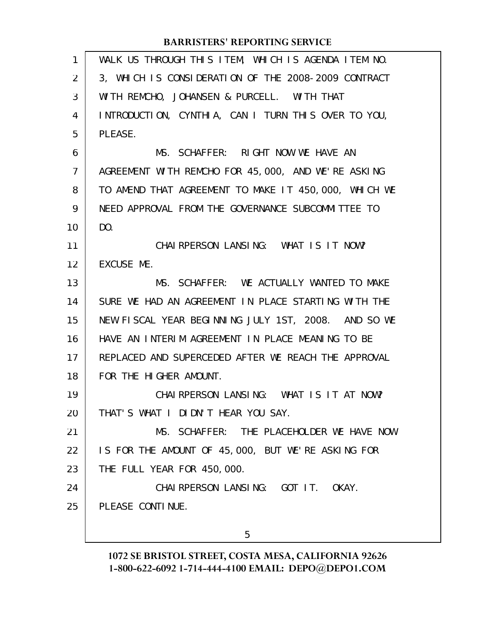| $\mathbf{1}$ | WALK US THROUGH THIS ITEM, WHICH IS AGENDA ITEM NO.  |
|--------------|------------------------------------------------------|
| 2            | 3, WHICH IS CONSIDERATION OF THE 2008-2009 CONTRACT  |
| 3            | WITH REMCHO, JOHANSEN & PURCELL. WITH THAT           |
| 4            | INTRODUCTION, CYNTHIA, CAN I TURN THIS OVER TO YOU,  |
| 5            | PLEASE.                                              |
| 6            | MS. SCHAFFER: RIGHT NOW WE HAVE AN                   |
| 7            | AGREEMENT WITH REMCHO FOR 45,000, AND WE'RE ASKING   |
| 8            | TO AMEND THAT AGREEMENT TO MAKE IT 450,000, WHICH WE |
| 9            | NEED APPROVAL FROM THE GOVERNANCE SUBCOMMITTEE TO    |
| 10           | DO.                                                  |
| 11           | CHAIRPERSON LANSING: WHAT IS IT NOW?                 |
| 12           | EXCUSE ME.                                           |
| 13           | MS. SCHAFFER: WE ACTUALLY WANTED TO MAKE             |
| 14           | SURE WE HAD AN AGREEMENT IN PLACE STARTING WITH THE  |
| 15           | NEW FISCAL YEAR BEGINNING JULY 1ST, 2008. AND SO WE  |
| 16           | HAVE AN INTERIM AGREEMENT IN PLACE MEANING TO BE     |
| 17           | REPLACED AND SUPERCEDED AFTER WE REACH THE APPROVAL  |
| 18           | FOR THE HIGHER AMOUNT.                               |
| 19           | CHAIRPERSON LANSING: WHAT IS IT AT NOW?              |
| 20           | THAT'S WHAT I DIDN'T HEAR YOU SAY.                   |
| 21           | MS. SCHAFFER: THE PLACEHOLDER WE HAVE NOW            |
| 22           | IS FOR THE AMOUNT OF 45,000, BUT WE'RE ASKING FOR    |
| 23           | THE FULL YEAR FOR 450,000.                           |
| 24           | CHAIRPERSON LANSING: GOT IT. OKAY.                   |
| 25           | PLEASE CONTINUE.                                     |
|              |                                                      |
|              | 5                                                    |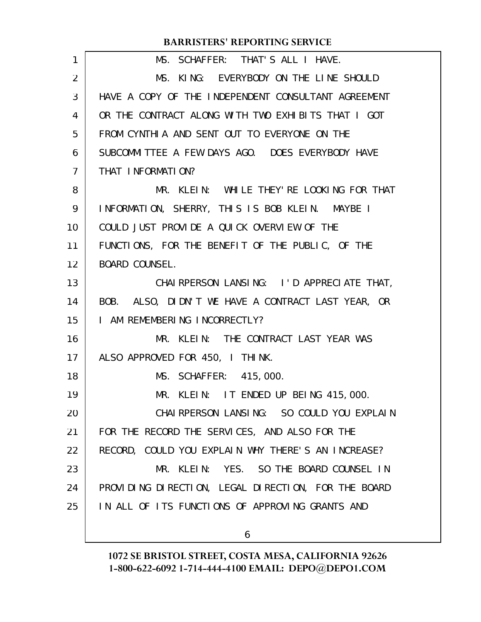| 1  | MS. SCHAFFER: THAT'S ALL I HAVE.                    |
|----|-----------------------------------------------------|
| 2  | MS. KING: EVERYBODY ON THE LINE SHOULD              |
| 3  | HAVE A COPY OF THE INDEPENDENT CONSULTANT AGREEMENT |
| 4  | OR THE CONTRACT ALONG WITH TWO EXHIBITS THAT I GOT  |
| 5  | FROM CYNTHIA AND SENT OUT TO EVERYONE ON THE        |
| 6  | SUBCOMMITTEE A FEW DAYS AGO. DOES EVERYBODY HAVE    |
| 7  | THAT INFORMATION?                                   |
| 8  | MR. KLEIN: WHILE THEY'RE LOOKING FOR THAT           |
| 9  | INFORMATION, SHERRY, THIS IS BOB KLEIN. MAYBE I     |
| 10 | COULD JUST PROVIDE A QUICK OVERVIEW OF THE          |
| 11 | FUNCTIONS, FOR THE BENEFIT OF THE PUBLIC, OF THE    |
| 12 | <b>BOARD COUNSEL.</b>                               |
| 13 | CHAI RPERSON LANSING: I'D APPRECIATE THAT,          |
| 14 | BOB. ALSO, DIDN'T WE HAVE A CONTRACT LAST YEAR, OR  |
| 15 | I AM REMEMBERING INCORRECTLY?                       |
| 16 | MR. KLEIN: THE CONTRACT LAST YEAR WAS               |
| 17 | ALSO APPROVED FOR 450, I THINK.                     |
| 18 | MS. SCHAFFER: 415,000.                              |
| 19 | MR. KLEIN: IT ENDED UP BEING 415,000.               |
| 20 | CHAI RPERSON LANSING: SO COULD YOU EXPLAIN          |
| 21 | FOR THE RECORD THE SERVICES, AND ALSO FOR THE       |
| 22 | RECORD, COULD YOU EXPLAIN WHY THERE'S AN INCREASE?  |
| 23 | MR. KLEIN: YES. SO THE BOARD COUNSEL IN             |
| 24 | PROVIDING DIRECTION, LEGAL DIRECTION, FOR THE BOARD |
| 25 | IN ALL OF ITS FUNCTIONS OF APPROVING GRANTS AND     |
|    | 6                                                   |
|    |                                                     |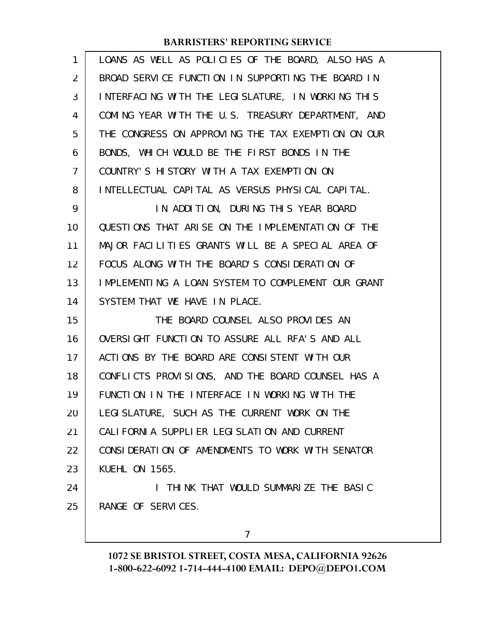| 1              | LOANS AS WELL AS POLICIES OF THE BOARD, ALSO HAS A |
|----------------|----------------------------------------------------|
| $\overline{2}$ | BROAD SERVICE FUNCTION IN SUPPORTING THE BOARD IN  |
| 3              | INTERFACING WITH THE LEGISLATURE, IN WORKING THIS  |
| 4              | COMING YEAR WITH THE U.S. TREASURY DEPARTMENT, AND |
| 5              | THE CONGRESS ON APPROVING THE TAX EXEMPTION ON OUR |
| 6              | BONDS, WHICH WOULD BE THE FIRST BONDS IN THE       |
| $\overline{7}$ | COUNTRY'S HISTORY WITH A TAX EXEMPTION ON          |
| 8              | INTELLECTUAL CAPITAL AS VERSUS PHYSICAL CAPITAL.   |
| 9              | IN ADDITION, DURING THIS YEAR BOARD                |
| 10             | QUESTIONS THAT ARISE ON THE IMPLEMENTATION OF THE  |
| 11             | MAJOR FACILITIES GRANTS WILL BE A SPECIAL AREA OF  |
| 12             | FOCUS ALONG WITH THE BOARD'S CONSIDERATION OF      |
| 13             | IMPLEMENTING A LOAN SYSTEM TO COMPLEMENT OUR GRANT |
|                |                                                    |
| 14             | SYSTEM THAT WE HAVE IN PLACE.                      |
| 15             | THE BOARD COUNSEL ALSO PROVIDES AN                 |
| 16             | OVERSIGHT FUNCTION TO ASSURE ALL RFA'S AND ALL     |
| 17             | ACTIONS BY THE BOARD ARE CONSISTENT WITH OUR       |
| 18             | CONFLICTS PROVISIONS, AND THE BOARD COUNSEL HAS A  |
| 19             | FUNCTION IN THE INTERFACE IN WORKING WITH THE      |
| 20             | LEGI SLATURE, SUCH AS THE CURRENT WORK ON THE      |
| 21             | CALI FORNI A SUPPLI ER LEGI SLATI ON AND CURRENT   |
| 22             | CONSIDERATION OF AMENDMENTS TO WORK WITH SENATOR   |
| 23             | <b>KUEHL ON 1565.</b>                              |
| 24             | I THINK THAT WOULD SUMMARIZE THE BASIC             |
| 25             | RANGE OF SERVICES.                                 |

7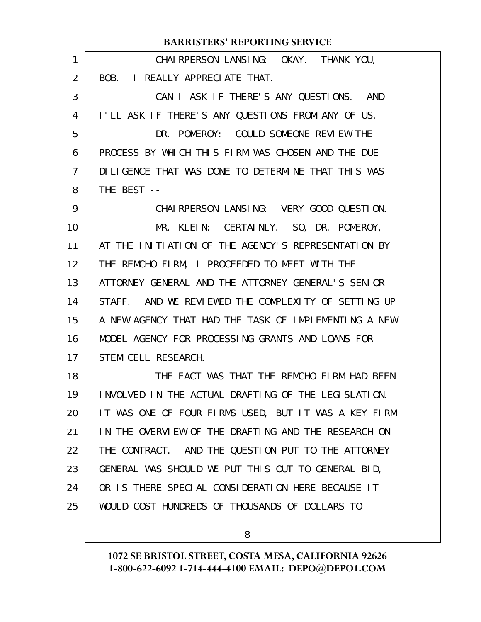|                   | <b>BARRISTERS' REPORTING SERVICE</b>                 |
|-------------------|------------------------------------------------------|
| 1                 | CHAI RPERSON LANSING: OKAY. THANK YOU,               |
| $\overline{2}$    | BOB. I REALLY APPRECIATE THAT.                       |
| 3                 | CAN I ASK IF THERE'S ANY QUESTIONS. AND              |
| 4                 | I'LL ASK IF THERE'S ANY QUESTIONS FROM ANY OF US.    |
| 5                 | DR. POMEROY: COULD SOMEONE REVIEW THE                |
| 6                 | PROCESS BY WHICH THIS FIRM WAS CHOSEN AND THE DUE    |
| $\overline{7}$    | DILIGENCE THAT WAS DONE TO DETERMINE THAT THIS WAS   |
| 8                 | THE BEST --                                          |
| 9                 | CHAI RPERSON LANSING: VERY GOOD QUESTION.            |
| 10 <sup>°</sup>   | MR. KLEIN: CERTAINLY. SO, DR. POMEROY,               |
| 11                | AT THE INITIATION OF THE AGENCY'S REPRESENTATION BY  |
| $12 \overline{ }$ | THE REMCHO FIRM, I PROCEEDED TO MEET WITH THE        |
| 13                | ATTORNEY GENERAL AND THE ATTORNEY GENERAL'S SENIOR   |
| 14                | STAFF. AND WE REVIEWED THE COMPLEXITY OF SETTING UP  |
| 15                | A NEW AGENCY THAT HAD THE TASK OF IMPLEMENTING A NEW |
| 16                | MODEL AGENCY FOR PROCESSING GRANTS AND LOANS FOR     |
| 17                | STEM CELL RESEARCH.                                  |
| 18                | THE FACT WAS THAT THE REMCHO FIRM HAD BEEN           |
| 19                | INVOLVED IN THE ACTUAL DRAFTING OF THE LEGISLATION.  |
| 20                | IT WAS ONE OF FOUR FIRMS USED, BUT IT WAS A KEY FIRM |
| 21                | IN THE OVERVIEW OF THE DRAFTING AND THE RESEARCH ON  |
| 22                | THE CONTRACT. AND THE QUESTION PUT TO THE ATTORNEY   |
| 23                | GENERAL WAS SHOULD WE PUT THIS OUT TO GENERAL BID,   |
| 24                | OR IS THERE SPECIAL CONSIDERATION HERE BECAUSE IT    |
| 25                | WOULD COST HUNDREDS OF THOUSANDS OF DOLLARS TO       |
|                   |                                                      |

8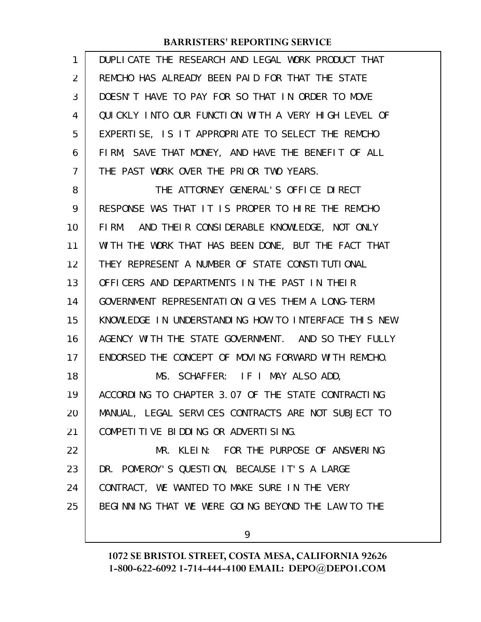| $\mathbf{1}$ | DUPLICATE THE RESEARCH AND LEGAL WORK PRODUCT THAT   |
|--------------|------------------------------------------------------|
| 2            | REMCHO HAS ALREADY BEEN PAID FOR THAT THE STATE      |
| 3            | DOESN'T HAVE TO PAY FOR SO THAT IN ORDER TO MOVE     |
| 4            | QUICKLY INTO OUR FUNCTION WITH A VERY HIGH LEVEL OF  |
| 5            | EXPERTISE, IS IT APPROPRIATE TO SELECT THE REMCHO    |
| 6            | FIRM, SAVE THAT MONEY, AND HAVE THE BENEFIT OF ALL   |
| 7            | THE PAST WORK OVER THE PRIOR TWO YEARS.              |
| 8            | THE ATTORNEY GENERAL'S OFFICE DIRECT                 |
| 9            | RESPONSE WAS THAT IT IS PROPER TO HIRE THE REMCHO    |
| 10           | FIRM. AND THEIR CONSIDERABLE KNOWLEDGE, NOT ONLY     |
| 11           | WITH THE WORK THAT HAS BEEN DONE, BUT THE FACT THAT  |
| 12           | THEY REPRESENT A NUMBER OF STATE CONSTITUTIONAL      |
| 13           | OFFICERS AND DEPARTMENTS IN THE PAST IN THEIR        |
| 14           | GOVERNMENT REPRESENTATION GIVES THEM A LONG-TERM     |
| 15           | KNOWLEDGE IN UNDERSTANDING HOW TO INTERFACE THIS NEW |
| 16           | AGENCY WITH THE STATE GOVERNMENT. AND SO THEY FULLY  |
| 17           | ENDORSED THE CONCEPT OF MOVING FORWARD WITH REMCHO.  |
| 18           | MS. SCHAFFER: IF I MAY ALSO ADD,                     |
| 19           | ACCORDING TO CHAPTER 3.07 OF THE STATE CONTRACTING   |
| 20           | MANUAL, LEGAL SERVICES CONTRACTS ARE NOT SUBJECT TO  |
| 21           | COMPETITIVE BIDDING OR ADVERTISING.                  |
| 22           | MR. KLEIN: FOR THE PURPOSE OF ANSWERING              |
| 23           | DR. POMEROY'S QUESTION, BECAUSE IT'S A LARGE         |
| 24           | CONTRACT, WE WANTED TO MAKE SURE IN THE VERY         |
| 25           | BEGINNING THAT WE WERE GOING BEYOND THE LAW TO THE   |
|              |                                                      |

9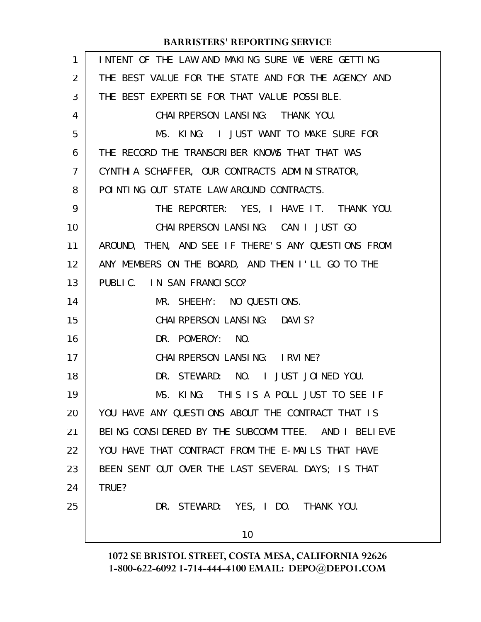| 1              | INTENT OF THE LAW AND MAKING SURE WE WERE GETTING   |
|----------------|-----------------------------------------------------|
| 2              | THE BEST VALUE FOR THE STATE AND FOR THE AGENCY AND |
| 3              | THE BEST EXPERTISE FOR THAT VALUE POSSIBLE.         |
| 4              | CHAI RPERSON LANSING: THANK YOU.                    |
| 5              | MS. KING: I JUST WANT TO MAKE SURE FOR              |
| 6              | THE RECORD THE TRANSCRIBER KNOWS THAT THAT WAS      |
| $\overline{7}$ | CYNTHI A SCHAFFER, OUR CONTRACTS ADMINISTRATOR,     |
| 8              | POINTING OUT STATE LAW AROUND CONTRACTS.            |
| 9              | THE REPORTER: YES, I HAVE IT. THANK YOU.            |
| 10             | CHAI RPERSON LANSING: CAN I JUST GO                 |
| 11             | AROUND, THEN, AND SEE IF THERE'S ANY QUESTIONS FROM |
| 12             | ANY MEMBERS ON THE BOARD, AND THEN I'LL GO TO THE   |
| 13             | PUBLIC. IN SAN FRANCISCO?                           |
| 14             | MR. SHEEHY: NO QUESTIONS.                           |
| 15             | CHAI RPERSON LANSING: DAVIS?                        |
| 16             | DR. POMEROY: NO.                                    |
| 17             | CHAI RPERSON LANSING: IRVINE?                       |
| 18             | DR. STEWARD: NO. I JUST JOINED YOU.                 |
| 19             | MS. KING: THIS IS A POLL JUST TO SEE IF             |
| 20             | YOU HAVE ANY QUESTIONS ABOUT THE CONTRACT THAT IS   |
| 21             | BEING CONSIDERED BY THE SUBCOMMITTEE. AND I BELIEVE |
| 22             | YOU HAVE THAT CONTRACT FROM THE E-MAILS THAT HAVE   |
| 23             | BEEN SENT OUT OVER THE LAST SEVERAL DAYS; IS THAT   |
| 24             | TRUE?                                               |
| 25             | DR. STEWARD: YES, I DO. THANK YOU.                  |
|                | 10                                                  |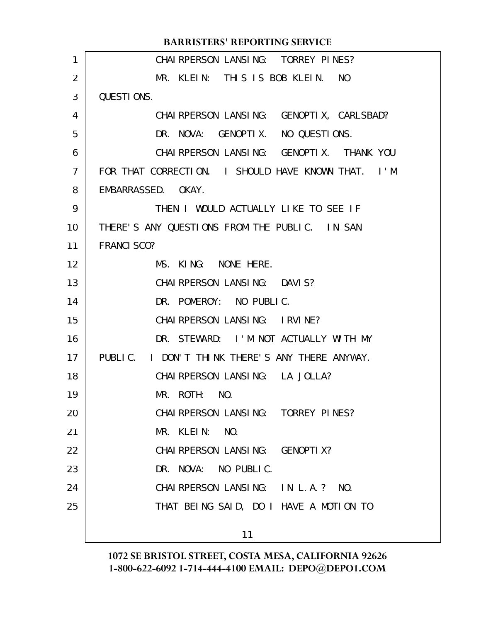|    | <b>BARRISTERS' REPORTING SERVICE</b>               |
|----|----------------------------------------------------|
| 1  | CHAI RPERSON LANSING: TORREY PINES?                |
| 2  | MR. KLEIN: THIS IS BOB KLEIN. NO                   |
| 3  | <b>QUESTIONS.</b>                                  |
| 4  | CHAI RPERSON LANSING: GENOPTIX, CARLSBAD?          |
| 5  | DR. NOVA: GENOPTIX. NO QUESTIONS.                  |
| 6  | CHAI RPERSON LANSING: GENOPTIX. THANK YOU          |
| 7  | FOR THAT CORRECTION. I SHOULD HAVE KNOWN THAT. I'M |
| 8  | EMBARRASSED. OKAY.                                 |
| 9  | THEN I WOULD ACTUALLY LIKE TO SEE IF               |
| 10 | THERE'S ANY QUESTIONS FROM THE PUBLIC. IN SAN      |
| 11 | <b>FRANCI SCO?</b>                                 |
| 12 | MS. KING: NONE HERE.                               |
| 13 | CHAI RPERSON LANSING: DAVIS?                       |
| 14 | DR. POMEROY: NO PUBLIC.                            |
| 15 | CHAI RPERSON LANSING: I RVINE?                     |
| 16 | DR. STEWARD: I'M NOT ACTUALLY WITH MY              |
| 17 | PUBLIC. I DON'T THINK THERE'S ANY THERE ANYWAY.    |
| 18 | CHAI RPERSON LANSING: LA JOLLA?                    |
| 19 | MR. ROTH:<br>NO.                                   |
| 20 | CHAI RPERSON LANSING: TORREY PINES?                |
| 21 | MR. KLEIN: NO.                                     |
| 22 | CHAI RPERSON LANSING: GENOPTIX?                    |
| 23 | DR. NOVA: NO PUBLIC.                               |
| 24 | CHAIRPERSON LANSING: IN L.A.? NO.                  |
| 25 | THAT BEING SAID, DO I HAVE A MOTION TO             |
|    | 11                                                 |
|    |                                                    |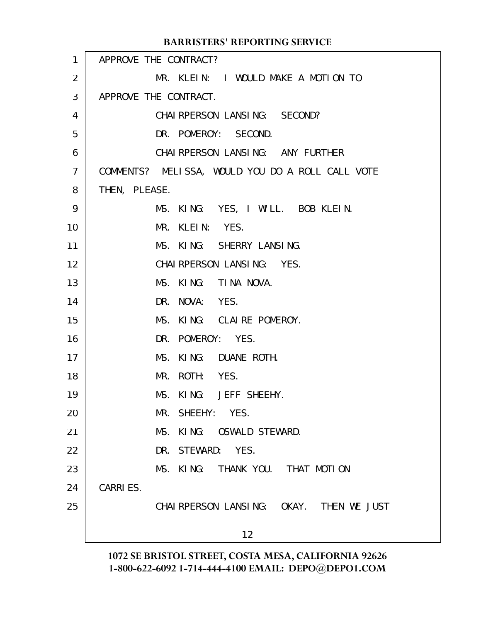|                | <b>BARRISTERS' REPORTING SERVICE</b>             |
|----------------|--------------------------------------------------|
| $\mathbf{1}$   | APPROVE THE CONTRACT?                            |
| 2              | MR. KLEIN: I WOULD MAKE A MOTION TO              |
| 3              | APPROVE THE CONTRACT.                            |
| 4              | CHAI RPERSON LANSING: SECOND?                    |
| 5              | DR. POMEROY: SECOND.                             |
| 6              | CHAI RPERSON LANSING: ANY FURTHER                |
| $\overline{7}$ | COMMENTS? MELISSA, WOULD YOU DO A ROLL CALL VOTE |
| 8              | THEN, PLEASE.                                    |
| 9              | MS. KING: YES, I WILL. BOB KLEIN.                |
| 10             | MR. KLEIN: YES.                                  |
| 11             | MS. KING: SHERRY LANSING.                        |
| 12             | CHAI RPERSON LANSING: YES.                       |
| 13             | MS. KING: TINA NOVA.                             |
| 14             | DR. NOVA: YES.                                   |
| 15             | MS. KING: CLAIRE POMEROY.                        |
| 16             | DR. POMEROY: YES.                                |
| 17             | MS. KING: DUANE ROTH.                            |
| 18             | MR. ROTH: YES.                                   |
| 19             | KING: JEFF SHEEHY.<br>MS.                        |
| 20             | MR. SHEEHY: YES.                                 |
| 21             | MS. KING: OSWALD STEWARD.                        |
| 22             | DR. STEWARD: YES.                                |
| 23             | MS. KING: THANK YOU. THAT MOTION                 |
| 24             | <b>CARRIES.</b>                                  |
| 25             | CHAIRPERSON LANSING: OKAY. THEN WE JUST          |
|                | 12                                               |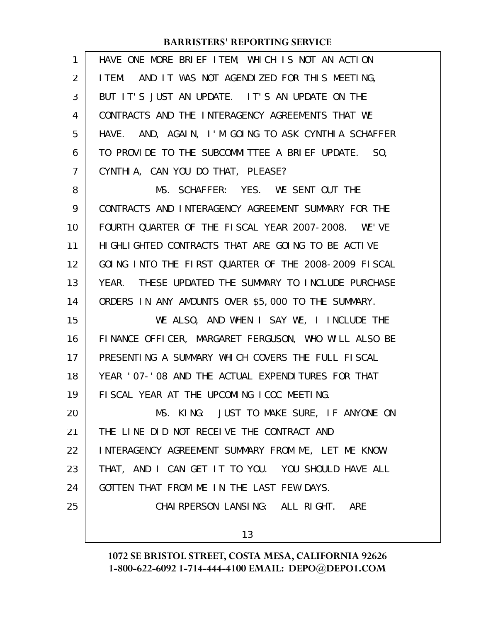| 1  | HAVE ONE MORE BRIEF ITEM, WHICH IS NOT AN ACTION     |
|----|------------------------------------------------------|
| 2  | I TEM. AND IT WAS NOT AGENDIZED FOR THIS MEETING,    |
| 3  | BUT IT'S JUST AN UPDATE. IT'S AN UPDATE ON THE       |
| 4  | CONTRACTS AND THE INTERAGENCY AGREEMENTS THAT WE     |
| 5  | HAVE. AND, AGAIN, I'M GOING TO ASK CYNTHIA SCHAFFER  |
| 6  | TO PROVIDE TO THE SUBCOMMITTEE A BRIEF UPDATE. SO,   |
| 7  | CYNTHIA, CAN YOU DO THAT, PLEASE?                    |
| 8  | MS. SCHAFFER: YES. WE SENT OUT THE                   |
| 9  | CONTRACTS AND INTERAGENCY AGREEMENT SUMMARY FOR THE  |
| 10 | FOURTH QUARTER OF THE FISCAL YEAR 2007-2008. WE'VE   |
| 11 | HIGHLIGHTED CONTRACTS THAT ARE GOING TO BE ACTIVE    |
| 12 | GOING INTO THE FIRST QUARTER OF THE 2008-2009 FISCAL |
| 13 | YEAR. THESE UPDATED THE SUMMARY TO INCLUDE PURCHASE  |
| 14 | ORDERS IN ANY AMOUNTS OVER \$5,000 TO THE SUMMARY.   |
| 15 | WE ALSO, AND WHEN I SAY WE, I INCLUDE THE            |
| 16 | FINANCE OFFICER, MARGARET FERGUSON, WHO WILL ALSO BE |
| 17 | PRESENTING A SUMMARY WHICH COVERS THE FULL FISCAL    |
| 18 | YEAR '07-'08 AND THE ACTUAL EXPENDITURES FOR THAT    |
| 19 | FISCAL YEAR AT THE UPCOMING ICOC MEETING.            |
| 20 | MS. KING: JUST TO MAKE SURE, IF ANYONE ON            |
| 21 | THE LINE DID NOT RECEIVE THE CONTRACT AND            |
| 22 | INTERAGENCY AGREEMENT SUMMARY FROM ME, LET ME KNOW   |
| 23 | THAT, AND I CAN GET IT TO YOU. YOU SHOULD HAVE ALL   |
| 24 | GOTTEN THAT FROM ME IN THE LAST FEW DAYS.            |
| 25 | CHAI RPERSON LANSING: ALL RIGHT. ARE                 |
|    | 13                                                   |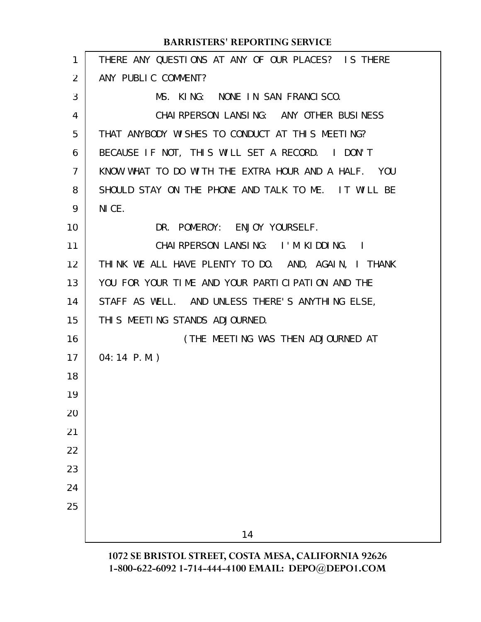# THERE ANY QUESTIONS AT ANY OF OUR PLACES? IS THERE ANY PUBLIC COMMENT? MS. KING: NONE IN SAN FRANCISCO. CHAIRPERSON LANSING: ANY OTHER BUSINESS THAT ANYBODY WISHES TO CONDUCT AT THIS MEETING? BECAUSE IF NOT, THIS WILL SET A RECORD. I DON'T KNOW WHAT TO DO WITH THE EXTRA HOUR AND A HALF. YOU SHOULD STAY ON THE PHONE AND TALK TO ME. IT WILL BE NICE. DR. POMEROY: ENJOY YOURSELF. CHAIRPERSON LANSING: I'M KIDDING. I THINK WE ALL HAVE PLENTY TO DO. AND, AGAIN, I THANK YOU FOR YOUR TIME AND YOUR PARTICIPATION AND THE STAFF AS WELL. AND UNLESS THERE'S ANYTHING ELSE, THIS MEETING STANDS ADJOURNED. (THE MEETING WAS THEN ADJOURNED AT 04:14 P.M.) 14 **BARRISTERS' REPORTING SERVICE** 1 2 3 4 5 6 7 8 9 10 11 12 13 14 15 16 17 18 19 20 21 22 23 24 25